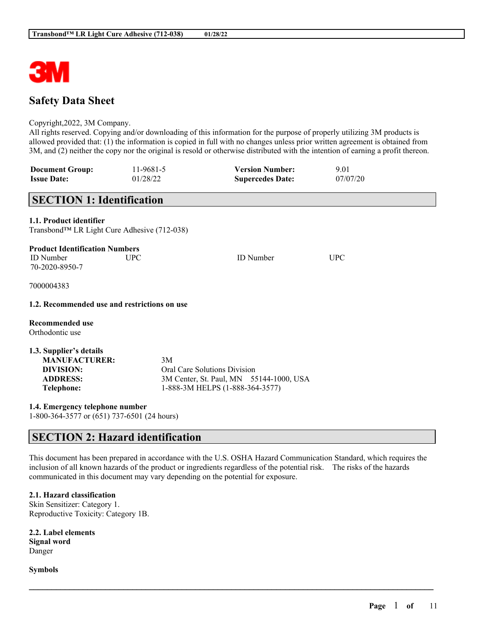

# **Safety Data Sheet**

### Copyright,2022, 3M Company.

All rights reserved. Copying and/or downloading of this information for the purpose of properly utilizing 3M products is allowed provided that: (1) the information is copied in full with no changes unless prior written agreement is obtained from 3M, and (2) neither the copy nor the original is resold or otherwise distributed with the intention of earning a profit thereon.

| <b>Document Group:</b> | 11-9681-5 | <b>Version Number:</b>  | 9.01     |
|------------------------|-----------|-------------------------|----------|
| <b>Issue Date:</b>     | 01/28/22  | <b>Supercedes Date:</b> | 07/07/20 |

# **SECTION 1: Identification**

## **1.1. Product identifier**

Transbond™ LR Light Cure Adhesive (712-038)

| <b>Product Identification Numbers</b> |      |                  |     |
|---------------------------------------|------|------------------|-----|
| <b>ID</b> Number                      | UPC. | <b>ID</b> Number | UPC |
| 70-2020-8950-7                        |      |                  |     |
| 7000004383                            |      |                  |     |
|                                       |      |                  |     |

## **1.2. Recommended use and restrictions on use**

**Recommended use** Orthodontic use

**1.3. Supplier's details MANUFACTURER:** 3M **DIVISION:** Oral Care Solutions Division **ADDRESS:** 3M Center, St. Paul, MN 55144-1000, USA **Telephone:** 1-888-3M HELPS (1-888-364-3577)

**1.4. Emergency telephone number**

1-800-364-3577 or (651) 737-6501 (24 hours)

# **SECTION 2: Hazard identification**

This document has been prepared in accordance with the U.S. OSHA Hazard Communication Standard, which requires the inclusion of all known hazards of the product or ingredients regardless of the potential risk. The risks of the hazards communicated in this document may vary depending on the potential for exposure.

 $\mathcal{L}_\mathcal{L} = \mathcal{L}_\mathcal{L} = \mathcal{L}_\mathcal{L} = \mathcal{L}_\mathcal{L} = \mathcal{L}_\mathcal{L} = \mathcal{L}_\mathcal{L} = \mathcal{L}_\mathcal{L} = \mathcal{L}_\mathcal{L} = \mathcal{L}_\mathcal{L} = \mathcal{L}_\mathcal{L} = \mathcal{L}_\mathcal{L} = \mathcal{L}_\mathcal{L} = \mathcal{L}_\mathcal{L} = \mathcal{L}_\mathcal{L} = \mathcal{L}_\mathcal{L} = \mathcal{L}_\mathcal{L} = \mathcal{L}_\mathcal{L}$ 

**2.1. Hazard classification** Skin Sensitizer: Category 1. Reproductive Toxicity: Category 1B.

**2.2. Label elements Signal word** Danger

**Symbols**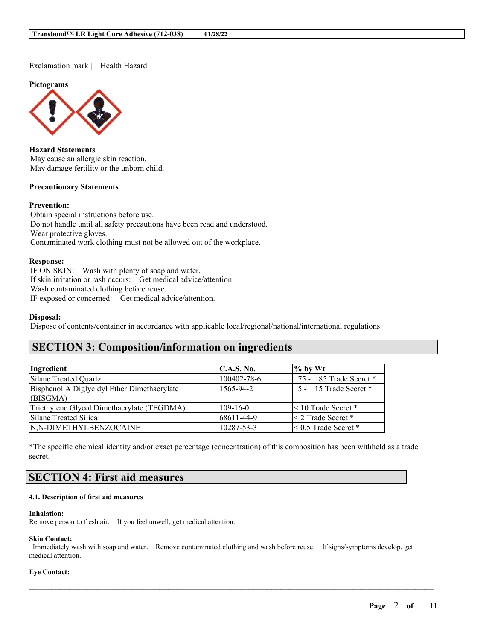Exclamation mark | Health Hazard |

**Pictograms**



**Hazard Statements** May cause an allergic skin reaction. May damage fertility or the unborn child.

### **Precautionary Statements**

### **Prevention:**

Obtain special instructions before use. Do not handle until all safety precautions have been read and understood. Wear protective gloves. Contaminated work clothing must not be allowed out of the workplace.

#### **Response:**

IF ON SKIN: Wash with plenty of soap and water. If skin irritation or rash occurs: Get medical advice/attention. Wash contaminated clothing before reuse. IF exposed or concerned: Get medical advice/attention.

### **Disposal:**

Dispose of contents/container in accordance with applicable local/regional/national/international regulations.

# **SECTION 3: Composition/information on ingredients**

| Ingredient                                              | C.A.S. No.  | $\%$ by Wt                  |
|---------------------------------------------------------|-------------|-----------------------------|
| Silane Treated Quartz                                   | 100402-78-6 | 75 - 85 Trade Secret *      |
| Bisphenol A Diglycidyl Ether Dimethacrylate<br>(BISGMA) | 1565-94-2   | 5 - 15 Trade Secret *       |
| Triethylene Glycol Dimethacrylate (TEGDMA)              | 109-16-0    | < 10 Trade Secret *         |
| Silane Treated Silica                                   | 68611-44-9  | $\leq$ 2 Trade Secret *     |
| N,N-DIMETHYLBENZOCAINE                                  | 10287-53-3  | $\leq 0.5$ Trade Secret $*$ |

\*The specific chemical identity and/or exact percentage (concentration) of this composition has been withheld as a trade secret.

# **SECTION 4: First aid measures**

### **4.1. Description of first aid measures**

#### **Inhalation:**

Remove person to fresh air. If you feel unwell, get medical attention.

#### **Skin Contact:**

Immediately wash with soap and water. Remove contaminated clothing and wash before reuse. If signs/symptoms develop, get medical attention.

 $\mathcal{L}_\mathcal{L} = \mathcal{L}_\mathcal{L} = \mathcal{L}_\mathcal{L} = \mathcal{L}_\mathcal{L} = \mathcal{L}_\mathcal{L} = \mathcal{L}_\mathcal{L} = \mathcal{L}_\mathcal{L} = \mathcal{L}_\mathcal{L} = \mathcal{L}_\mathcal{L} = \mathcal{L}_\mathcal{L} = \mathcal{L}_\mathcal{L} = \mathcal{L}_\mathcal{L} = \mathcal{L}_\mathcal{L} = \mathcal{L}_\mathcal{L} = \mathcal{L}_\mathcal{L} = \mathcal{L}_\mathcal{L} = \mathcal{L}_\mathcal{L}$ 

## **Eye Contact:**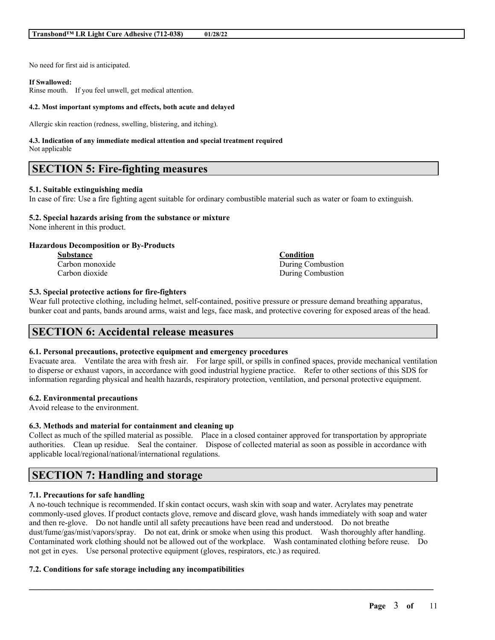No need for first aid is anticipated.

#### **If Swallowed:**

Rinse mouth. If you feel unwell, get medical attention.

#### **4.2. Most important symptoms and effects, both acute and delayed**

Allergic skin reaction (redness, swelling, blistering, and itching).

#### **4.3. Indication of any immediate medical attention and special treatment required** Not applicable

# **SECTION 5: Fire-fighting measures**

### **5.1. Suitable extinguishing media**

In case of fire: Use a fire fighting agent suitable for ordinary combustible material such as water or foam to extinguish.

### **5.2. Special hazards arising from the substance or mixture**

None inherent in this product.

### **Hazardous Decomposition or By-Products**

**Substance Condition**

Carbon monoxide During Combustion Carbon dioxide During Combustion

## **5.3. Special protective actions for fire-fighters**

Wear full protective clothing, including helmet, self-contained, positive pressure or pressure demand breathing apparatus, bunker coat and pants, bands around arms, waist and legs, face mask, and protective covering for exposed areas of the head.

# **SECTION 6: Accidental release measures**

### **6.1. Personal precautions, protective equipment and emergency procedures**

Evacuate area. Ventilate the area with fresh air. For large spill, or spills in confined spaces, provide mechanical ventilation to disperse or exhaust vapors, in accordance with good industrial hygiene practice. Refer to other sections of this SDS for information regarding physical and health hazards, respiratory protection, ventilation, and personal protective equipment.

### **6.2. Environmental precautions**

Avoid release to the environment.

### **6.3. Methods and material for containment and cleaning up**

Collect as much of the spilled material as possible. Place in a closed container approved for transportation by appropriate authorities. Clean up residue. Seal the container. Dispose of collected material as soon as possible in accordance with applicable local/regional/national/international regulations.

# **SECTION 7: Handling and storage**

# **7.1. Precautions for safe handling**

A no-touch technique is recommended. If skin contact occurs, wash skin with soap and water. Acrylates may penetrate commonly-used gloves. If product contacts glove, remove and discard glove, wash hands immediately with soap and water and then re-glove. Do not handle until all safety precautions have been read and understood. Do not breathe dust/fume/gas/mist/vapors/spray. Do not eat, drink or smoke when using this product. Wash thoroughly after handling. Contaminated work clothing should not be allowed out of the workplace. Wash contaminated clothing before reuse. Do not get in eyes. Use personal protective equipment (gloves, respirators, etc.) as required.

 $\mathcal{L}_\mathcal{L} = \mathcal{L}_\mathcal{L} = \mathcal{L}_\mathcal{L} = \mathcal{L}_\mathcal{L} = \mathcal{L}_\mathcal{L} = \mathcal{L}_\mathcal{L} = \mathcal{L}_\mathcal{L} = \mathcal{L}_\mathcal{L} = \mathcal{L}_\mathcal{L} = \mathcal{L}_\mathcal{L} = \mathcal{L}_\mathcal{L} = \mathcal{L}_\mathcal{L} = \mathcal{L}_\mathcal{L} = \mathcal{L}_\mathcal{L} = \mathcal{L}_\mathcal{L} = \mathcal{L}_\mathcal{L} = \mathcal{L}_\mathcal{L}$ 

# **7.2. Conditions for safe storage including any incompatibilities**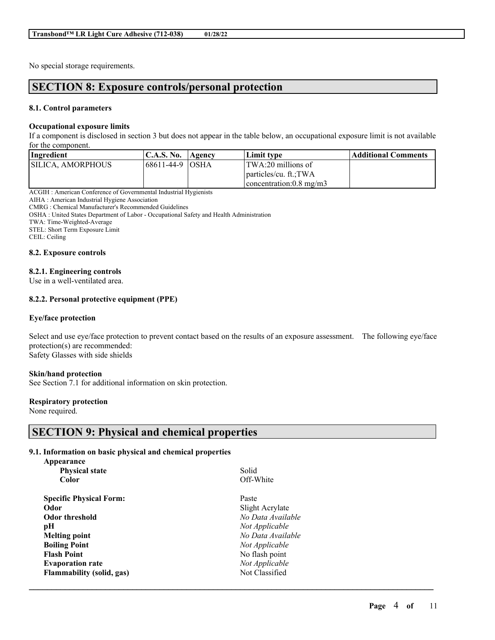No special storage requirements.

# **SECTION 8: Exposure controls/personal protection**

## **8.1. Control parameters**

## **Occupational exposure limits**

If a component is disclosed in section 3 but does not appear in the table below, an occupational exposure limit is not available for the component.

| Ingredient                | <b>C.A.S. No.</b> | <b>Agency</b> | Limit type                        | <b>Additional Comments</b> |
|---------------------------|-------------------|---------------|-----------------------------------|----------------------------|
| <b>ISILICA. AMORPHOUS</b> | 168611-44-9 IOSHA |               | TWA:20 millions of                |                            |
|                           |                   |               | particles/cu. ft.;TWA             |                            |
|                           |                   |               | concentration: $0.8 \text{ mg/m}$ |                            |

ACGIH : American Conference of Governmental Industrial Hygienists

AIHA : American Industrial Hygiene Association

CMRG : Chemical Manufacturer's Recommended Guidelines

OSHA : United States Department of Labor - Occupational Safety and Health Administration

TWA: Time-Weighted-Average

STEL: Short Term Exposure Limit

CEIL: Ceiling

### **8.2. Exposure controls**

## **8.2.1. Engineering controls**

Use in a well-ventilated area.

## **8.2.2. Personal protective equipment (PPE)**

### **Eye/face protection**

Select and use eye/face protection to prevent contact based on the results of an exposure assessment. The following eye/face protection(s) are recommended: Safety Glasses with side shields

 $\mathcal{L}_\mathcal{L} = \mathcal{L}_\mathcal{L} = \mathcal{L}_\mathcal{L} = \mathcal{L}_\mathcal{L} = \mathcal{L}_\mathcal{L} = \mathcal{L}_\mathcal{L} = \mathcal{L}_\mathcal{L} = \mathcal{L}_\mathcal{L} = \mathcal{L}_\mathcal{L} = \mathcal{L}_\mathcal{L} = \mathcal{L}_\mathcal{L} = \mathcal{L}_\mathcal{L} = \mathcal{L}_\mathcal{L} = \mathcal{L}_\mathcal{L} = \mathcal{L}_\mathcal{L} = \mathcal{L}_\mathcal{L} = \mathcal{L}_\mathcal{L}$ 

### **Skin/hand protection**

See Section 7.1 for additional information on skin protection.

### **Respiratory protection**

None required.

# **SECTION 9: Physical and chemical properties**

### **9.1. Information on basic physical and chemical properties**

| Appearance                       |                   |
|----------------------------------|-------------------|
| <b>Physical state</b>            | Solid             |
| Color                            | Off-White         |
| <b>Specific Physical Form:</b>   | Paste             |
| Odor                             | Slight Acrylate   |
| <b>Odor threshold</b>            | No Data Available |
| pН                               | Not Applicable    |
| <b>Melting point</b>             | No Data Available |
| <b>Boiling Point</b>             | Not Applicable    |
| <b>Flash Point</b>               | No flash point    |
| <b>Evaporation rate</b>          | Not Applicable    |
| <b>Flammability (solid, gas)</b> | Not Classified    |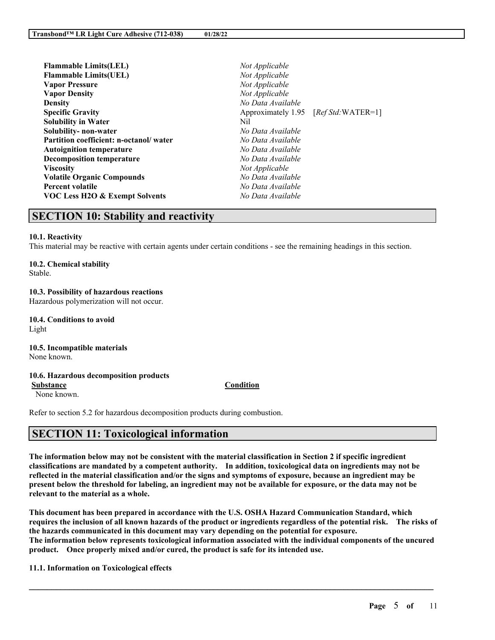| <b>Flammable Limits(LEL)</b>              | Not Applicable     |                    |
|-------------------------------------------|--------------------|--------------------|
| <b>Flammable Limits(UEL)</b>              | Not Applicable     |                    |
| <b>Vapor Pressure</b>                     | Not Applicable     |                    |
| <b>Vapor Density</b>                      | Not Applicable     |                    |
| <b>Density</b>                            | No Data Available  |                    |
| <b>Specific Gravity</b>                   | Approximately 1.95 | $[RefStd:WATER=1]$ |
| <b>Solubility in Water</b>                | Nil                |                    |
| Solubility-non-water                      | No Data Available  |                    |
| Partition coefficient: n-octanol/water    | No Data Available  |                    |
| <b>Autoignition temperature</b>           | No Data Available  |                    |
| <b>Decomposition temperature</b>          | No Data Available  |                    |
| <b>Viscosity</b>                          | Not Applicable     |                    |
| <b>Volatile Organic Compounds</b>         | No Data Available  |                    |
| <b>Percent volatile</b>                   | No Data Available  |                    |
| <b>VOC Less H2O &amp; Exempt Solvents</b> | No Data Available  |                    |
|                                           |                    |                    |

# **SECTION 10: Stability and reactivity**

# **10.1. Reactivity**

This material may be reactive with certain agents under certain conditions - see the remaining headings in this section.

# **10.2. Chemical stability**

Stable.

# **10.3. Possibility of hazardous reactions**

Hazardous polymerization will not occur.

**10.4. Conditions to avoid** Light

#### **10.5. Incompatible materials** None known.

# **10.6. Hazardous decomposition products**

None known.

Refer to section 5.2 for hazardous decomposition products during combustion.

# **SECTION 11: Toxicological information**

The information below may not be consistent with the material classification in Section 2 if specific ingredient **classifications are mandated by a competent authority. In addition, toxicological data on ingredients may not be** reflected in the material classification and/or the signs and symptoms of exposure, because an ingredient may be present below the threshold for labeling, an ingredient may not be available for exposure, or the data may not be **relevant to the material as a whole.**

**This document has been prepared in accordance with the U.S. OSHA Hazard Communication Standard, which** requires the inclusion of all known hazards of the product or ingredients regardless of the potential risk. The risks of **the hazards communicated in this document may vary depending on the potential for exposure. The information below represents toxicological information associated with the individual components of the uncured product. Once properly mixed and/or cured, the product is safe for its intended use.**

 $\mathcal{L}_\mathcal{L} = \mathcal{L}_\mathcal{L} = \mathcal{L}_\mathcal{L} = \mathcal{L}_\mathcal{L} = \mathcal{L}_\mathcal{L} = \mathcal{L}_\mathcal{L} = \mathcal{L}_\mathcal{L} = \mathcal{L}_\mathcal{L} = \mathcal{L}_\mathcal{L} = \mathcal{L}_\mathcal{L} = \mathcal{L}_\mathcal{L} = \mathcal{L}_\mathcal{L} = \mathcal{L}_\mathcal{L} = \mathcal{L}_\mathcal{L} = \mathcal{L}_\mathcal{L} = \mathcal{L}_\mathcal{L} = \mathcal{L}_\mathcal{L}$ 

**11.1. Information on Toxicological effects**

# **Substance Condition**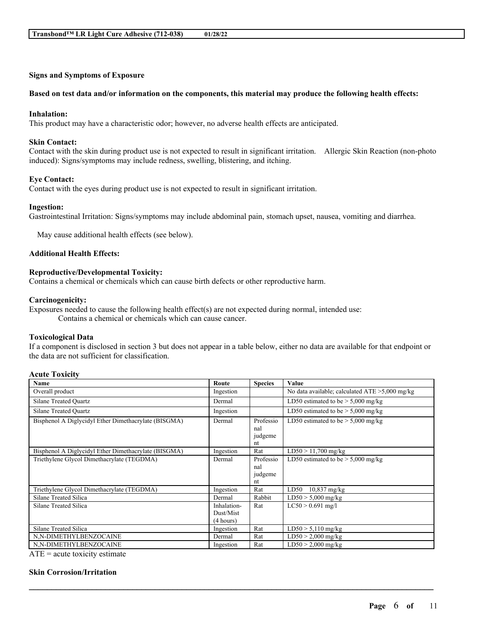## **Signs and Symptoms of Exposure**

### Based on test data and/or information on the components, this material may produce the following health effects:

#### **Inhalation:**

This product may have a characteristic odor; however, no adverse health effects are anticipated.

### **Skin Contact:**

Contact with the skin during product use is not expected to result in significant irritation. Allergic Skin Reaction (non-photo induced): Signs/symptoms may include redness, swelling, blistering, and itching.

### **Eye Contact:**

Contact with the eyes during product use is not expected to result in significant irritation.

#### **Ingestion:**

Gastrointestinal Irritation: Signs/symptoms may include abdominal pain, stomach upset, nausea, vomiting and diarrhea.

May cause additional health effects (see below).

## **Additional Health Effects:**

# **Reproductive/Developmental Toxicity:**

Contains a chemical or chemicals which can cause birth defects or other reproductive harm.

#### **Carcinogenicity:**

Exposures needed to cause the following health effect(s) are not expected during normal, intended use: Contains a chemical or chemicals which can cause cancer.

# **Toxicological Data**

If a component is disclosed in section 3 but does not appear in a table below, either no data are available for that endpoint or the data are not sufficient for classification.

# **Acute Toxicity**

| Name                                                                                                                                                                                                                                                                                                                       | Route                                 | <b>Species</b>                    | Value                                             |
|----------------------------------------------------------------------------------------------------------------------------------------------------------------------------------------------------------------------------------------------------------------------------------------------------------------------------|---------------------------------------|-----------------------------------|---------------------------------------------------|
| Overall product                                                                                                                                                                                                                                                                                                            | Ingestion                             |                                   | No data available; calculated $ATE > 5,000$ mg/kg |
| <b>Silane Treated Ouartz</b>                                                                                                                                                                                                                                                                                               | Dermal                                |                                   | LD50 estimated to be $> 5,000$ mg/kg              |
| <b>Silane Treated Ouartz</b>                                                                                                                                                                                                                                                                                               | Ingestion                             |                                   | LD50 estimated to be $> 5,000$ mg/kg              |
| Bisphenol A Diglycidyl Ether Dimethacrylate (BISGMA)                                                                                                                                                                                                                                                                       | Dermal                                | Professio<br>nal<br>judgeme<br>nt | LD50 estimated to be $>$ 5,000 mg/kg              |
| Bisphenol A Diglycidyl Ether Dimethacrylate (BISGMA)                                                                                                                                                                                                                                                                       | Ingestion                             | Rat                               | $LD50 > 11,700$ mg/kg                             |
| Triethylene Glycol Dimethacrylate (TEGDMA)                                                                                                                                                                                                                                                                                 | Dermal                                | Professio<br>nal<br>judgeme<br>nt | LD50 estimated to be $> 5,000$ mg/kg              |
| Triethylene Glycol Dimethacrylate (TEGDMA)                                                                                                                                                                                                                                                                                 | Ingestion                             | Rat                               | $10,837$ mg/kg<br>LD50                            |
| Silane Treated Silica                                                                                                                                                                                                                                                                                                      | Dermal                                | Rabbit                            | $LD50 > 5,000$ mg/kg                              |
| Silane Treated Silica                                                                                                                                                                                                                                                                                                      | Inhalation-<br>Dust/Mist<br>(4 hours) | Rat                               | $LC50 > 0.691$ mg/l                               |
| Silane Treated Silica                                                                                                                                                                                                                                                                                                      | Ingestion                             | Rat                               | $LD50 > 5,110$ mg/kg                              |
| N,N-DIMETHYLBENZOCAINE                                                                                                                                                                                                                                                                                                     | Dermal                                | Rat                               | $LD50 > 2,000$ mg/kg                              |
| N,N-DIMETHYLBENZOCAINE<br>$\mathbf{r}$ and $\mathbf{r}$ and $\mathbf{r}$ and $\mathbf{r}$ and $\mathbf{r}$ and $\mathbf{r}$ and $\mathbf{r}$ and $\mathbf{r}$ and $\mathbf{r}$ and $\mathbf{r}$ and $\mathbf{r}$ and $\mathbf{r}$ and $\mathbf{r}$ and $\mathbf{r}$ and $\mathbf{r}$ and $\mathbf{r}$ and $\mathbf{r}$ and | Ingestion                             | Rat                               | $LD50 > 2,000$ mg/kg                              |

 $\mathcal{L}_\mathcal{L} = \mathcal{L}_\mathcal{L} = \mathcal{L}_\mathcal{L} = \mathcal{L}_\mathcal{L} = \mathcal{L}_\mathcal{L} = \mathcal{L}_\mathcal{L} = \mathcal{L}_\mathcal{L} = \mathcal{L}_\mathcal{L} = \mathcal{L}_\mathcal{L} = \mathcal{L}_\mathcal{L} = \mathcal{L}_\mathcal{L} = \mathcal{L}_\mathcal{L} = \mathcal{L}_\mathcal{L} = \mathcal{L}_\mathcal{L} = \mathcal{L}_\mathcal{L} = \mathcal{L}_\mathcal{L} = \mathcal{L}_\mathcal{L}$ 

 $ATE = acute$  toxicity estimate

### **Skin Corrosion/Irritation**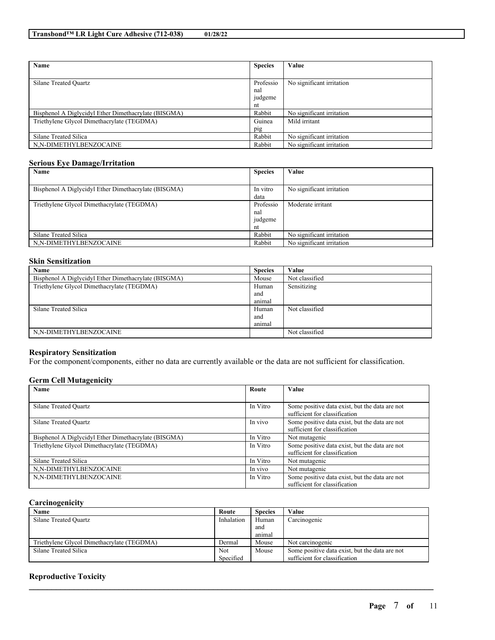| Name                                                 | <b>Species</b> | Value                     |
|------------------------------------------------------|----------------|---------------------------|
|                                                      |                |                           |
| Silane Treated Ouartz                                | Professio      | No significant irritation |
|                                                      | nal            |                           |
|                                                      | judgeme        |                           |
|                                                      | nt             |                           |
| Bisphenol A Diglycidyl Ether Dimethacrylate (BISGMA) | Rabbit         | No significant irritation |
| Triethylene Glycol Dimethacrylate (TEGDMA)           | Guinea         | Mild irritant             |
|                                                      | pig            |                           |
| Silane Treated Silica                                | Rabbit         | No significant irritation |
| N,N-DIMETHYLBENZOCAINE                               | Rabbit         | No significant irritation |

## **Serious Eye Damage/Irritation**

| Name                                                 | <b>Species</b> | Value                     |
|------------------------------------------------------|----------------|---------------------------|
|                                                      |                |                           |
| Bisphenol A Diglycidyl Ether Dimethacrylate (BISGMA) | In vitro       | No significant irritation |
|                                                      | data           |                           |
| Triethylene Glycol Dimethacrylate (TEGDMA)           | Professio      | Moderate irritant         |
|                                                      | nal            |                           |
|                                                      | judgeme        |                           |
|                                                      | nt             |                           |
| Silane Treated Silica                                | Rabbit         | No significant irritation |
| N,N-DIMETHYLBENZOCAINE                               | Rabbit         | No significant irritation |

# **Skin Sensitization**

| Name                                                 | <b>Species</b> | Value          |
|------------------------------------------------------|----------------|----------------|
| Bisphenol A Diglycidyl Ether Dimethacrylate (BISGMA) | Mouse          | Not classified |
| Triethylene Glycol Dimethacrylate (TEGDMA)           | Human          | Sensitizing    |
|                                                      | and            |                |
|                                                      | animal         |                |
| Silane Treated Silica                                | Human          | Not classified |
|                                                      | and            |                |
|                                                      | animal         |                |
| N,N-DIMETHYLBENZOCAINE                               |                | Not classified |

# **Respiratory Sensitization**

For the component/components, either no data are currently available or the data are not sufficient for classification.

## **Germ Cell Mutagenicity**

| Name                                                 | Route    | Value                                                                           |
|------------------------------------------------------|----------|---------------------------------------------------------------------------------|
|                                                      |          |                                                                                 |
| Silane Treated Ouartz                                | In Vitro | Some positive data exist, but the data are not<br>sufficient for classification |
| Silane Treated Ouartz                                | In vivo  | Some positive data exist, but the data are not<br>sufficient for classification |
| Bisphenol A Diglycidyl Ether Dimethacrylate (BISGMA) | In Vitro | Not mutagenic                                                                   |
| Triethylene Glycol Dimethacrylate (TEGDMA)           | In Vitro | Some positive data exist, but the data are not<br>sufficient for classification |
| Silane Treated Silica                                | In Vitro | Not mutagenic                                                                   |
| N,N-DIMETHYLBENZOCAINE                               | In vivo  | Not mutagenic                                                                   |
| N,N-DIMETHYLBENZOCAINE                               | In Vitro | Some positive data exist, but the data are not<br>sufficient for classification |

# **Carcinogenicity**

| Name                                       | Route      | <b>Species</b> | Value                                          |
|--------------------------------------------|------------|----------------|------------------------------------------------|
| Silane Treated Ouartz                      | Inhalation | Human          | Carcinogenic                                   |
|                                            |            | and            |                                                |
|                                            |            | animal         |                                                |
| Triethylene Glycol Dimethacrylate (TEGDMA) | Dermal     | Mouse          | Not carcinogenic                               |
| Silane Treated Silica                      | <b>Not</b> | Mouse          | Some positive data exist, but the data are not |
|                                            | Specified  |                | sufficient for classification                  |

 $\mathcal{L}_\mathcal{L} = \mathcal{L}_\mathcal{L} = \mathcal{L}_\mathcal{L} = \mathcal{L}_\mathcal{L} = \mathcal{L}_\mathcal{L} = \mathcal{L}_\mathcal{L} = \mathcal{L}_\mathcal{L} = \mathcal{L}_\mathcal{L} = \mathcal{L}_\mathcal{L} = \mathcal{L}_\mathcal{L} = \mathcal{L}_\mathcal{L} = \mathcal{L}_\mathcal{L} = \mathcal{L}_\mathcal{L} = \mathcal{L}_\mathcal{L} = \mathcal{L}_\mathcal{L} = \mathcal{L}_\mathcal{L} = \mathcal{L}_\mathcal{L}$ 

# **Reproductive Toxicity**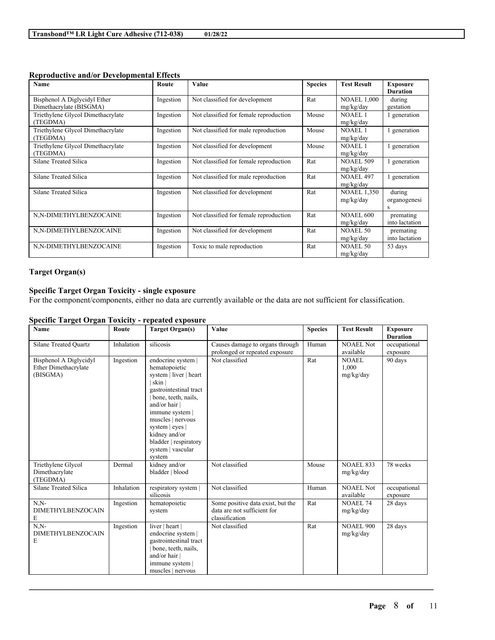| <b>Name</b>                       | Route     | Value                                  | <b>Species</b> | <b>Test Result</b> | <b>Exposure</b> |
|-----------------------------------|-----------|----------------------------------------|----------------|--------------------|-----------------|
|                                   |           |                                        |                |                    | <b>Duration</b> |
| Bisphenol A Diglycidyl Ether      | Ingestion | Not classified for development         | Rat            | <b>NOAEL 1,000</b> | during          |
| Dimethacrylate (BISGMA)           |           |                                        |                | mg/kg/day          | gestation       |
| Triethylene Glycol Dimethacrylate | Ingestion | Not classified for female reproduction | Mouse          | <b>NOAEL1</b>      | 1 generation    |
| (TEGDMA)                          |           |                                        |                | mg/kg/day          |                 |
| Triethylene Glycol Dimethacrylate | Ingestion | Not classified for male reproduction   | Mouse          | NOAEL <sub>1</sub> | generation      |
| (TEGDMA)                          |           |                                        |                | mg/kg/day          |                 |
| Triethylene Glycol Dimethacrylate | Ingestion | Not classified for development         | Mouse          | <b>NOAEL1</b>      | generation      |
| (TEGDMA)                          |           |                                        |                | mg/kg/day          |                 |
| Silane Treated Silica             | Ingestion | Not classified for female reproduction | Rat            | <b>NOAEL 509</b>   | generation      |
|                                   |           |                                        |                | mg/kg/day          |                 |
| Silane Treated Silica             | Ingestion | Not classified for male reproduction   | Rat            | <b>NOAEL 497</b>   | generation      |
|                                   |           |                                        |                | mg/kg/day          |                 |
| Silane Treated Silica             | Ingestion | Not classified for development         | Rat            | <b>NOAEL 1,350</b> | during          |
|                                   |           |                                        |                | mg/kg/day          | organogenesi    |
|                                   |           |                                        |                |                    | S               |
| N,N-DIMETHYLBENZOCAINE            | Ingestion | Not classified for female reproduction | Rat            | <b>NOAEL 600</b>   | premating       |
|                                   |           |                                        |                | mg/kg/day          | into lactation  |
| N,N-DIMETHYLBENZOCAINE            | Ingestion | Not classified for development         | Rat            | <b>NOAEL 50</b>    | premating       |
|                                   |           |                                        |                | mg/kg/day          | into lactation  |
| N,N-DIMETHYLBENZOCAINE            | Ingestion | Toxic to male reproduction             | Rat            | NOAEL 50           | 53 days         |
|                                   |           |                                        |                | mg/kg/day          |                 |

## **Reproductive and/or Developmental Effects**

# **Target Organ(s)**

# **Specific Target Organ Toxicity - single exposure**

For the component/components, either no data are currently available or the data are not sufficient for classification.

## **Specific Target Organ Toxicity - repeated exposure**

| Name                                                       | Route     | <b>Target Organ(s)</b>                                                                                                                                                                                                                                                      | Value                                                                              | <b>Species</b> | <b>Test Result</b>                 | <b>Exposure</b><br><b>Duration</b> |
|------------------------------------------------------------|-----------|-----------------------------------------------------------------------------------------------------------------------------------------------------------------------------------------------------------------------------------------------------------------------------|------------------------------------------------------------------------------------|----------------|------------------------------------|------------------------------------|
| <b>Silane Treated Ouartz</b><br>Inhalation                 |           | silicosis                                                                                                                                                                                                                                                                   | Causes damage to organs through<br>prolonged or repeated exposure                  | Human          | <b>NOAEL Not</b><br>available      | occupational<br>exposure           |
| Bisphenol A Diglycidyl<br>Ether Dimethacrylate<br>(BISGMA) | Ingestion | endocrine system  <br>hematopoietic<br>system   liver   heart<br>skin<br>gastrointestinal tract<br>bone, teeth, nails,<br>and/or hair  <br>immune system  <br>muscles   nervous<br>system   eyes  <br>kidney and/or<br>bladder   respiratory<br>system   vascular<br>system | Not classified                                                                     | Rat            | <b>NOAEL</b><br>1,000<br>mg/kg/day | 90 days                            |
| Triethylene Glycol<br>Dimethacrylate<br>(TEGDMA)           | Dermal    | kidney and/or<br>bladder   blood                                                                                                                                                                                                                                            | Not classified                                                                     | Mouse          | <b>NOAEL 833</b><br>mg/kg/day      | 78 weeks                           |
| Silane Treated Silica<br>Inhalation                        |           | respiratory system  <br>silicosis                                                                                                                                                                                                                                           | Not classified                                                                     | Human          | <b>NOAEL Not</b><br>available      | occupational<br>exposure           |
| $N.N-$<br><b>DIMETHYLBENZOCAIN</b><br>E                    | Ingestion | hematopoietic<br>system                                                                                                                                                                                                                                                     | Some positive data exist, but the<br>data are not sufficient for<br>classification | Rat            | <b>NOAEL 74</b><br>mg/kg/day       | 28 days                            |
| $N.N-$<br><b>DIMETHYLBENZOCAIN</b><br>E                    | Ingestion | liver   heart  <br>endocrine system  <br>gastrointestinal tract<br>bone, teeth, nails,<br>and/or hair  <br>immune system  <br>muscles   nervous                                                                                                                             | Not classified                                                                     | Rat            | <b>NOAEL 900</b><br>mg/kg/day      | $28$ days                          |

 $\mathcal{L}_\mathcal{L} = \mathcal{L}_\mathcal{L} = \mathcal{L}_\mathcal{L} = \mathcal{L}_\mathcal{L} = \mathcal{L}_\mathcal{L} = \mathcal{L}_\mathcal{L} = \mathcal{L}_\mathcal{L} = \mathcal{L}_\mathcal{L} = \mathcal{L}_\mathcal{L} = \mathcal{L}_\mathcal{L} = \mathcal{L}_\mathcal{L} = \mathcal{L}_\mathcal{L} = \mathcal{L}_\mathcal{L} = \mathcal{L}_\mathcal{L} = \mathcal{L}_\mathcal{L} = \mathcal{L}_\mathcal{L} = \mathcal{L}_\mathcal{L}$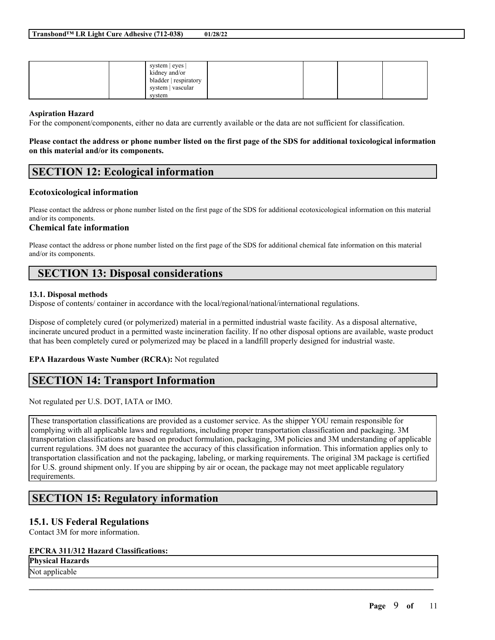| system   eyes  <br>kidney and/or<br>bladder   respiratory<br>system   vascular |  |
|--------------------------------------------------------------------------------|--|
| system                                                                         |  |

## **Aspiration Hazard**

For the component/components, either no data are currently available or the data are not sufficient for classification.

### Please contact the address or phone number listed on the first page of the SDS for additional toxicological information **on this material and/or its components.**

# **SECTION 12: Ecological information**

## **Ecotoxicological information**

Please contact the address or phone number listed on the first page of the SDS for additional ecotoxicological information on this material and/or its components.

# **Chemical fate information**

Please contact the address or phone number listed on the first page of the SDS for additional chemical fate information on this material and/or its components.

# **SECTION 13: Disposal considerations**

## **13.1. Disposal methods**

Dispose of contents/ container in accordance with the local/regional/national/international regulations.

Dispose of completely cured (or polymerized) material in a permitted industrial waste facility. As a disposal alternative, incinerate uncured product in a permitted waste incineration facility. If no other disposal options are available, waste product that has been completely cured or polymerized may be placed in a landfill properly designed for industrial waste.

# **EPA Hazardous Waste Number (RCRA):** Not regulated

# **SECTION 14: Transport Information**

Not regulated per U.S. DOT, IATA or IMO.

These transportation classifications are provided as a customer service. As the shipper YOU remain responsible for complying with all applicable laws and regulations, including proper transportation classification and packaging. 3M transportation classifications are based on product formulation, packaging, 3M policies and 3M understanding of applicable current regulations. 3M does not guarantee the accuracy of this classification information. This information applies only to transportation classification and not the packaging, labeling, or marking requirements. The original 3M package is certified for U.S. ground shipment only. If you are shipping by air or ocean, the package may not meet applicable regulatory requirements.

 $\mathcal{L}_\mathcal{L} = \mathcal{L}_\mathcal{L} = \mathcal{L}_\mathcal{L} = \mathcal{L}_\mathcal{L} = \mathcal{L}_\mathcal{L} = \mathcal{L}_\mathcal{L} = \mathcal{L}_\mathcal{L} = \mathcal{L}_\mathcal{L} = \mathcal{L}_\mathcal{L} = \mathcal{L}_\mathcal{L} = \mathcal{L}_\mathcal{L} = \mathcal{L}_\mathcal{L} = \mathcal{L}_\mathcal{L} = \mathcal{L}_\mathcal{L} = \mathcal{L}_\mathcal{L} = \mathcal{L}_\mathcal{L} = \mathcal{L}_\mathcal{L}$ 

# **SECTION 15: Regulatory information**

# **15.1. US Federal Regulations**

Contact 3M for more information.

# **EPCRA 311/312 Hazard Classifications:**

# **Physical Hazards**

Not applicable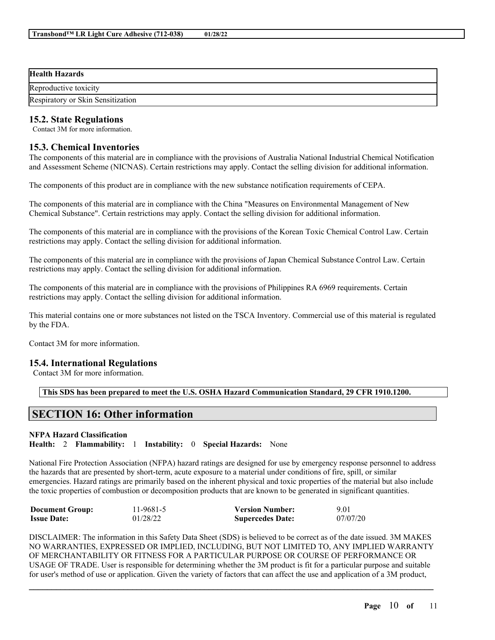| <b>Health Hazards</b>             |
|-----------------------------------|
| Reproductive toxicity             |
| Respiratory or Skin Sensitization |

# **15.2. State Regulations**

Contact 3M for more information.

# **15.3. Chemical Inventories**

The components of this material are in compliance with the provisions of Australia National Industrial Chemical Notification and Assessment Scheme (NICNAS). Certain restrictions may apply. Contact the selling division for additional information.

The components of this product are in compliance with the new substance notification requirements of CEPA.

The components of this material are in compliance with the China "Measures on Environmental Management of New Chemical Substance". Certain restrictions may apply. Contact the selling division for additional information.

The components of this material are in compliance with the provisions of the Korean Toxic Chemical Control Law. Certain restrictions may apply. Contact the selling division for additional information.

The components of this material are in compliance with the provisions of Japan Chemical Substance Control Law. Certain restrictions may apply. Contact the selling division for additional information.

The components of this material are in compliance with the provisions of Philippines RA 6969 requirements. Certain restrictions may apply. Contact the selling division for additional information.

This material contains one or more substances not listed on the TSCA Inventory. Commercial use of this material is regulated by the FDA.

Contact 3M for more information.

# **15.4. International Regulations**

Contact 3M for more information.

**This SDS has been prepared to meet the U.S. OSHA Hazard Communication Standard, 29 CFR 1910.1200.**

# **SECTION 16: Other information**

### **NFPA Hazard Classification**

**Health:** 2 **Flammability:** 1 **Instability:** 0 **Special Hazards:** None

National Fire Protection Association (NFPA) hazard ratings are designed for use by emergency response personnel to address the hazards that are presented by short-term, acute exposure to a material under conditions of fire, spill, or similar emergencies. Hazard ratings are primarily based on the inherent physical and toxic properties of the material but also include the toxic properties of combustion or decomposition products that are known to be generated in significant quantities.

| <b>Document Group:</b> | 11-9681-5 | <b>Version Number:</b>  | 9.01     |
|------------------------|-----------|-------------------------|----------|
| <b>Issue Date:</b>     | 01/28/22  | <b>Supercedes Date:</b> | 07/07/20 |

DISCLAIMER: The information in this Safety Data Sheet (SDS) is believed to be correct as of the date issued. 3M MAKES NO WARRANTIES, EXPRESSED OR IMPLIED, INCLUDING, BUT NOT LIMITED TO, ANY IMPLIED WARRANTY OF MERCHANTABILITY OR FITNESS FOR A PARTICULAR PURPOSE OR COURSE OF PERFORMANCE OR USAGE OF TRADE. User is responsible for determining whether the 3M product is fit for a particular purpose and suitable for user's method of use or application. Given the variety of factors that can affect the use and application of a 3M product,

 $\mathcal{L}_\mathcal{L} = \mathcal{L}_\mathcal{L} = \mathcal{L}_\mathcal{L} = \mathcal{L}_\mathcal{L} = \mathcal{L}_\mathcal{L} = \mathcal{L}_\mathcal{L} = \mathcal{L}_\mathcal{L} = \mathcal{L}_\mathcal{L} = \mathcal{L}_\mathcal{L} = \mathcal{L}_\mathcal{L} = \mathcal{L}_\mathcal{L} = \mathcal{L}_\mathcal{L} = \mathcal{L}_\mathcal{L} = \mathcal{L}_\mathcal{L} = \mathcal{L}_\mathcal{L} = \mathcal{L}_\mathcal{L} = \mathcal{L}_\mathcal{L}$